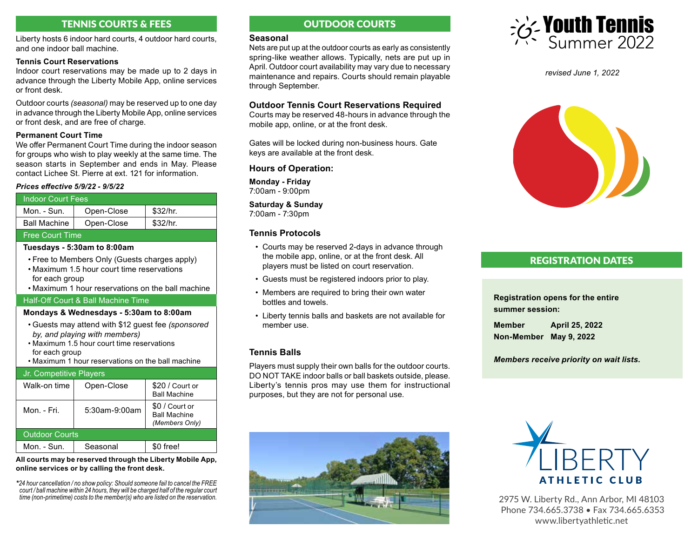# TENNIS COURTS & FEES OUTDOOR COURTS

Liberty hosts 6 indoor hard courts, 4 outdoor hard courts, and one indoor ball machine.

### **Tennis Court Reservations**

Indoor court reservations may be made up to 2 days in advance through the Liberty Mobile App, online services or front desk.

Outdoor courts *(seasonal)* may be reserved up to one day in advance through the Liberty Mobile App, online services or front desk, and are free of charge.

## **Permanent Court Time**

We offer Permanent Court Time during the indoor season for groups who wish to play weekly at the same time. The season starts in September and ends in May. Please contact Lichee St. Pierre at ext. 121 for information.

#### *Prices effective 5/9/22 - 9/5/22*

# Indoor Court Fees Mon. - Sun.  $\parallel$  Open-Close  $\parallel$  \$32/hr. Ball Machine  $\vert$  Open-Close  $\vert$  \$32/hr. Free Court Time

## **Tuesdays - 5:30am to 8:00am**

- Free to Members Only (Guests charges apply) • Maximum 1.5 hour court time reservations for each group
- Maximum 1 hour reservations on the ball machine

## Half-Off Court & Ball Machine Time

## **Mondays & Wednesdays - 5:30am to 8:00am**

- Guests may attend with \$12 guest fee *(sponsored by, and playing with members)*
- Maximum 1.5 hour court time reservations for each group
- Maximum 1 hour reservations on the ball machine

# Jr. Competitive Players

| Walk-on time          | Open-Close    | \$20 / Court or<br><b>Ball Machine</b>                  |
|-----------------------|---------------|---------------------------------------------------------|
| Mon. - Fri.           | 5:30am-9:00am | \$0 / Court or<br><b>Ball Machine</b><br>(Members Only) |
| <b>Outdoor Courts</b> |               |                                                         |
| $Mon - Sun$           | Seasonal      | \$0 free!                                               |

**All courts may be reserved through the Liberty Mobile App, online services or by calling the front desk.**

*\*24 hour cancellation / no show policy: Should someone fail to cancel the FREE court / ball machine within 24 hours, they will be charged half of the regular court time (non-primetime) costs to the member(s) who are listed on the reservation.*

# **Seasonal**

Nets are put up at the outdoor courts as early as consistently spring-like weather allows. Typically, nets are put up in April. Outdoor court availability may vary due to necessary maintenance and repairs. Courts should remain playable through September.

## **Outdoor Tennis Court Reservations Required**

Courts may be reserved 48-hours in advance through the mobile app, online, or at the front desk.

Gates will be locked during non-business hours. Gate keys are available at the front desk.

## **Hours of Operation:**

**Monday - Friday** 7:00am - 9:00pm

**Saturday & Sunday** 7:00am - 7:30pm

# **Tennis Protocols**

- Courts may be reserved 2-days in advance through the mobile app, online, or at the front desk. All players must be listed on court reservation.
- Guests must be registered indoors prior to play.
- Members are required to bring their own water bottles and towels.
- Liberty tennis balls and baskets are not available for member use.

# **Tennis Balls**

Players must supply their own balls for the outdoor courts. DO NOT TAKE indoor balls or ball baskets outside, please. Liberty's tennis pros may use them for instructional purposes, but they are not for personal use.





*revised June 1, 2022*



# REGISTRATION DATES

**Registration opens for the entire summer session:**

**Member April 25, 2022 Non-Member May 9, 2022**

*Members receive priority on wait lists.*



2975 W. Liberty Rd., Ann Arbor, MI 48103 Phone 734.665.3738 • Fax 734.665.6353 www.libertyathletic.net